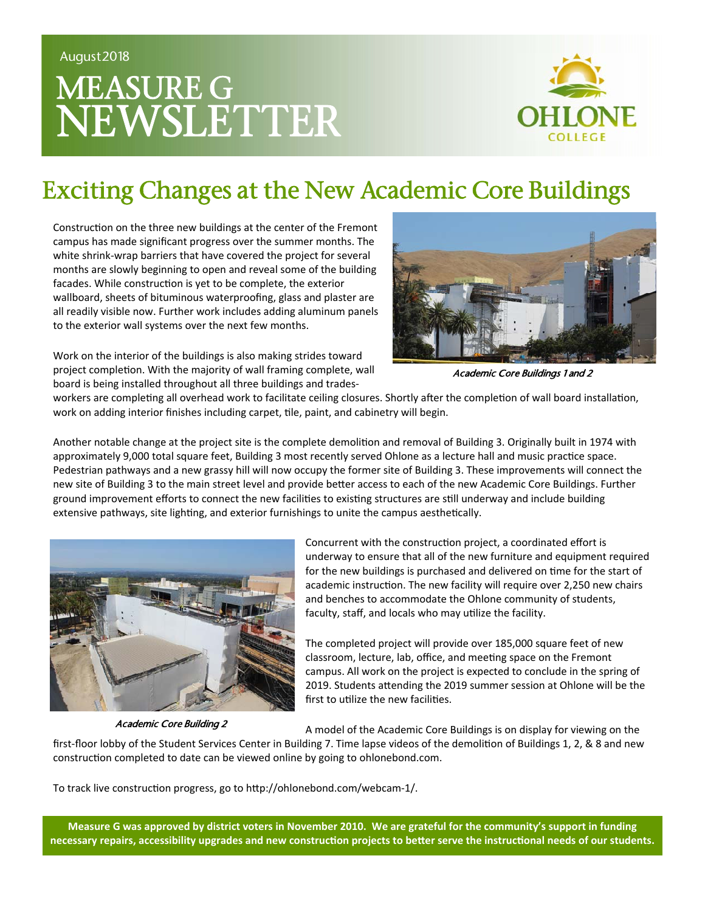# MEASURE G NEWSLETTER



#### Exciting Changes at the New Academic Core Buildings

Construction on the three new buildings at the center of the Fremont campus has made significant progress over the summer months. The white shrink‐wrap barriers that have covered the project for several months are slowly beginning to open and reveal some of the building facades. While construction is yet to be complete, the exterior wallboard, sheets of bituminous waterproofing, glass and plaster are all readily visible now. Further work includes adding aluminum panels to the exterior wall systems over the next few months.



Work on the interior of the buildings is also making strides toward project completion. With the majority of wall framing complete, wall board is being installed throughout all three buildings and trades‐

Academic Core Buildings 1 and 2

workers are completing all overhead work to facilitate ceiling closures. Shortly after the completion of wall board installation, work on adding interior finishes including carpet, tile, paint, and cabinetry will begin.

Another notable change at the project site is the complete demolition and removal of Building 3. Originally built in 1974 with approximately 9,000 total square feet, Building 3 most recently served Ohlone as a lecture hall and music practice space. Pedestrian pathways and a new grassy hill will now occupy the former site of Building 3. These improvements will connect the new site of Building 3 to the main street level and provide better access to each of the new Academic Core Buildings. Further ground improvement efforts to connect the new facilities to existing structures are still underway and include building extensive pathways, site lighting, and exterior furnishings to unite the campus aesthetically.



Academic Core Building 2

Concurrent with the construction project, a coordinated effort is underway to ensure that all of the new furniture and equipment required for the new buildings is purchased and delivered on time for the start of academic instruction. The new facility will require over 2,250 new chairs and benches to accommodate the Ohlone community of students, faculty, staff, and locals who may utilize the facility.

The completed project will provide over 185,000 square feet of new classroom, lecture, lab, office, and meeting space on the Fremont campus. All work on the project is expected to conclude in the spring of 2019. Students attending the 2019 summer session at Ohlone will be the first to utilize the new facilities.

A model of the Academic Core Buildings is on display for viewing on the

first-floor lobby of the Student Services Center in Building 7. Time lapse videos of the demolition of Buildings 1, 2, & 8 and new construction completed to date can be viewed online by going to ohlonebond.com.

To track live construction progress, go to http://ohlonebond.com/webcam-1/.

**Measure G was approved by district voters in November 2010. We are grateful for the community's support in funding**  necessary repairs, accessibility upgrades and new construction projects to better serve the instructional needs of our students.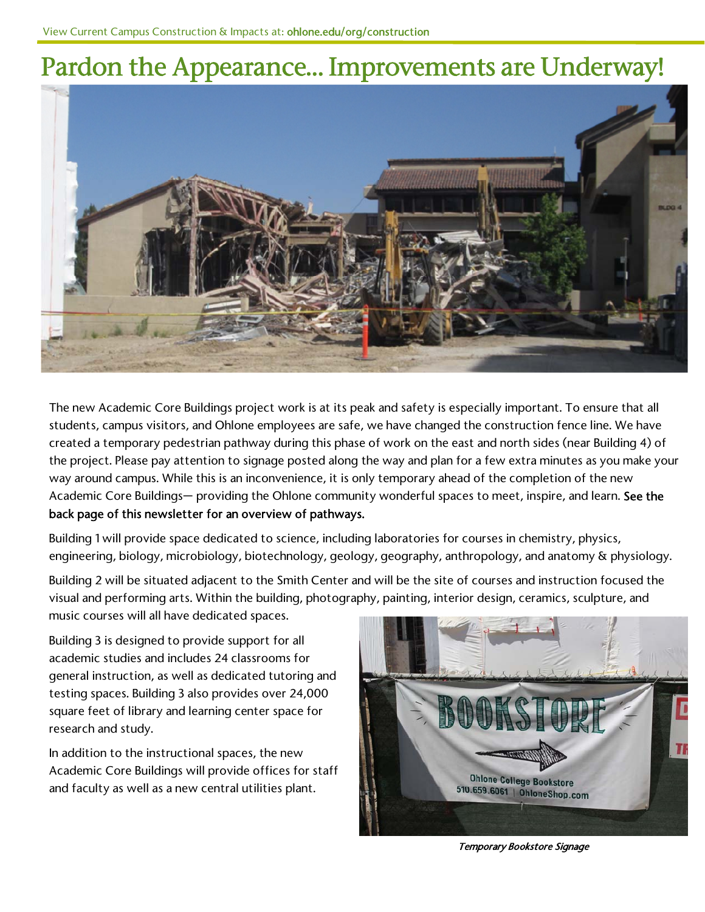#### Pardon the Appearance… Improvements are Underway!



The new Academic Core Buildings project work is at its peak and safety is especially important. To ensure that all students, campus visitors, and Ohlone employees are safe, we have changed the construction fence line. We have created a temporary pedestrian pathway during this phase of work on the east and north sides (near Building 4) of the project. Please pay attention to signage posted along the way and plan for a few extra minutes as you make your way around campus. While this is an inconvenience, it is only temporary ahead of the completion of the new Academic Core Buildings— providing the Ohlone community wonderful spaces to meet, inspire, and learn. See the back page of this newsletter for an overview of pathways.

Building 1 will provide space dedicated to science, including laboratories for courses in chemistry, physics, engineering, biology, microbiology, biotechnology, geology, geography, anthropology, and anatomy & physiology.

Building 2 will be situated adjacent to the Smith Center and will be the site of courses and instruction focused the visual and performing arts. Within the building, photography, painting, interior design, ceramics, sculpture, and music courses will all have dedicated spaces.

Building 3 is designed to provide support for all academic studies and includes 24 classrooms for general instruction, as well as dedicated tutoring and testing spaces. Building 3 also provides over 24,000 square feet of library and learning center space for research and study.

In addition to the instructional spaces, the new Academic Core Buildings will provide offices for staff and faculty as well as a new central utilities plant.



Temporary Bookstore Signage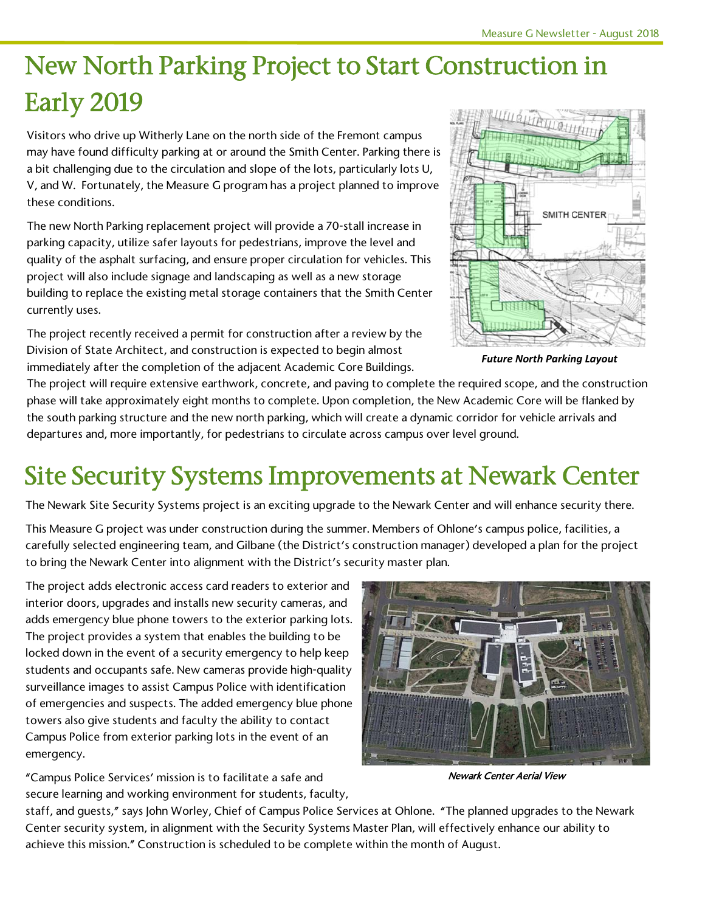## New North Parking Project to Start Construction in Early 2019

Visitors who drive up Witherly Lane on the north side of the Fremont campus may have found difficulty parking at or around the Smith Center. Parking there is a bit challenging due to the circulation and slope of the lots, particularly lots U, V, and W. Fortunately, the Measure G program has a project planned to improve these conditions.

The new North Parking replacement project will provide a 70-stall increase in parking capacity, utilize safer layouts for pedestrians, improve the level and quality of the asphalt surfacing, and ensure proper circulation for vehicles. This project will also include signage and landscaping as well as a new storage building to replace the existing metal storage containers that the Smith Center currently uses.

The project recently received a permit for construction after a review by the Division of State Architect, and construction is expected to begin almost immediately after the completion of the adjacent Academic Core Buildings.



*Future North Parking Layout* 

The project will require extensive earthwork, concrete, and paving to complete the required scope, and the construction phase will take approximately eight months to complete. Upon completion, the New Academic Core will be flanked by the south parking structure and the new north parking, which will create a dynamic corridor for vehicle arrivals and departures and, more importantly, for pedestrians to circulate across campus over level ground.

### Site Security Systems Improvements at Newark Center

The Newark Site Security Systems project is an exciting upgrade to the Newark Center and will enhance security there.

This Measure G project was under construction during the summer. Members of Ohlone's campus police, facilities, a carefully selected engineering team, and Gilbane (the District's construction manager) developed a plan for the project to bring the Newark Center into alignment with the District's security master plan.

The project adds electronic access card readers to exterior and interior doors, upgrades and installs new security cameras, and adds emergency blue phone towers to the exterior parking lots. The project provides a system that enables the building to be locked down in the event of a security emergency to help keep students and occupants safe. New cameras provide high-quality surveillance images to assist Campus Police with identification of emergencies and suspects. The added emergency blue phone towers also give students and faculty the ability to contact Campus Police from exterior parking lots in the event of an emergency.

"Campus Police Services' mission is to facilitate a safe and secure learning and working environment for students, faculty,



Newark Center Aerial View

staff, and guests," says John Worley, Chief of Campus Police Services at Ohlone. "The planned upgrades to the Newark Center security system, in alignment with the Security Systems Master Plan, will effectively enhance our ability to achieve this mission." Construction is scheduled to be complete within the month of August.